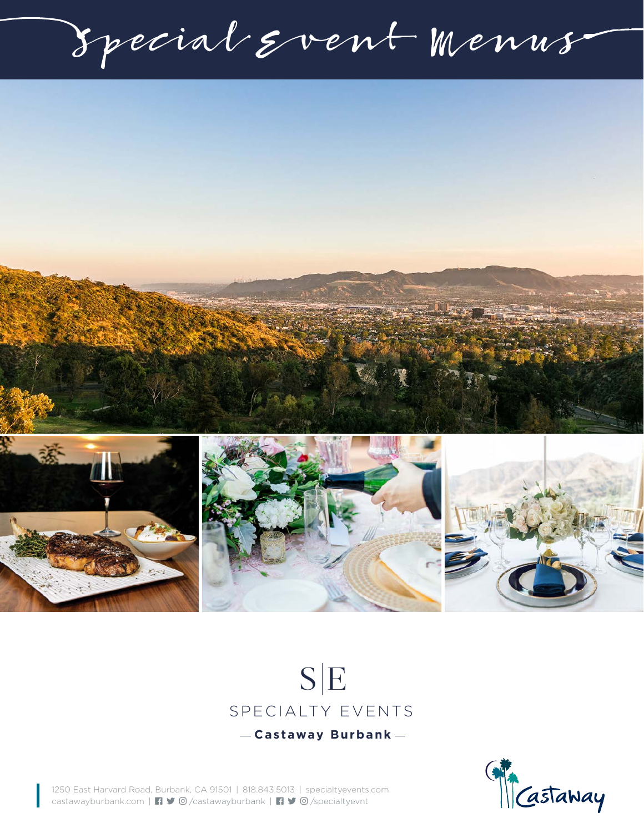Special Event Menus



## $S|E$ SPECIALTY EVENTS **Castaway Burbank**



1250 East Harvard Road, Burbank, CA 91501 | 818.843.5013 | specialtyevents.com castawayburbank.com | /castawayburbank | /specialtyevnt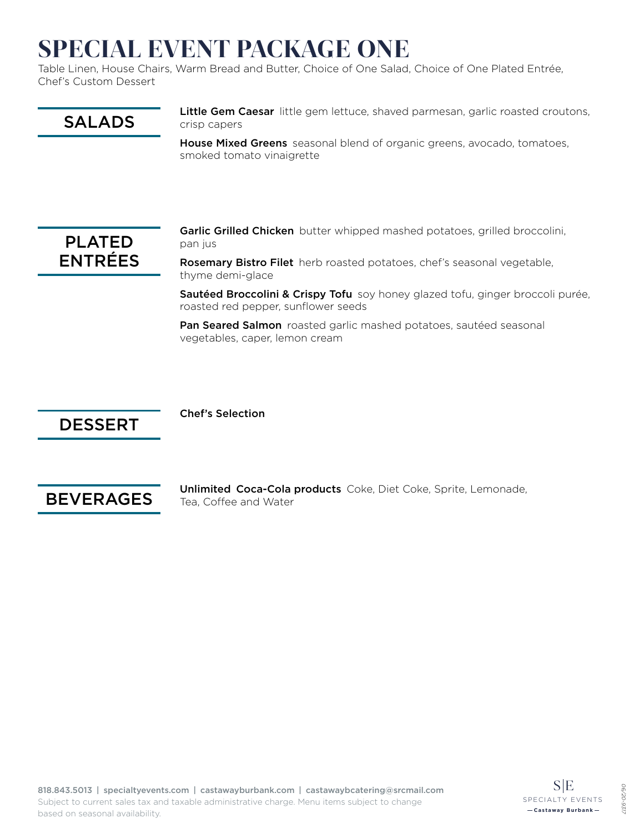## SPECIAL EVENT PACKAGE ONE

Table Linen, House Chairs, Warm Bread and Butter, Choice of One Salad, Choice of One Plated Entrée, Chef's Custom Dessert



House Mixed Greens seasonal blend of organic greens, avocado, tomatoes, smoked tomato vinaigrette



Garlic Grilled Chicken butter whipped mashed potatoes, grilled broccolini, pan jus

Rosemary Bistro Filet herb roasted potatoes, chef's seasonal vegetable, thyme demi-glace

Sautéed Broccolini & Crispy Tofu soy honey glazed tofu, ginger broccoli purée, roasted red pepper, sunflower seeds

Pan Seared Salmon roasted garlic mashed potatoes, sautéed seasonal vegetables, caper, lemon cream

### DESSERT

Chef's Selection



Unlimited Coca-Cola products Coke, Diet Coke, Sprite, Lemonade, Tea, Coffee and Water

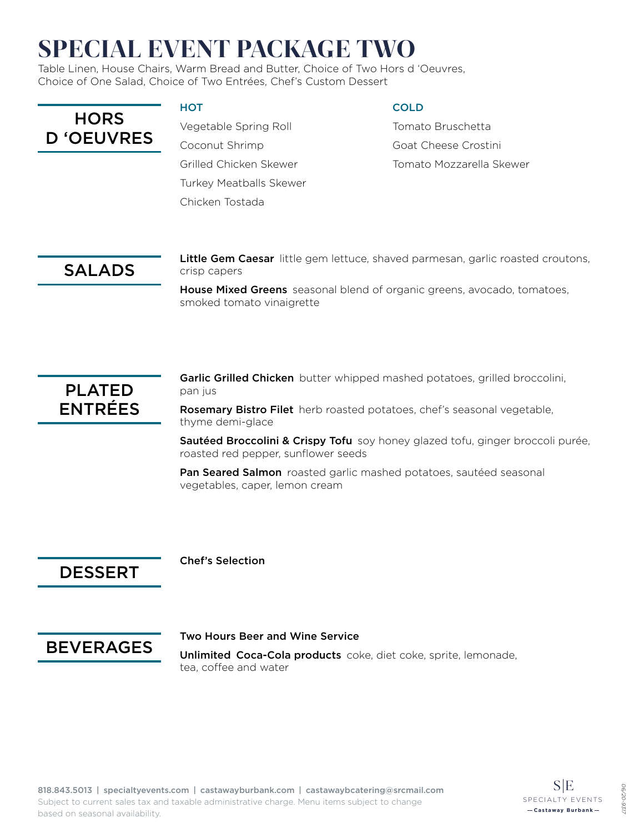# SPECIAL EVENT PACKAGE TWO

Table Linen, House Chairs, Warm Bread and Butter, Choice of Two Hors d 'Oeuvres, Choice of One Salad, Choice of Two Entrées, Chef's Custom Dessert

| <b>HORS</b>       |
|-------------------|
| <b>D 'OEUVRES</b> |

#### **HOT**

Vegetable Spring Roll Coconut Shrimp Grilled Chicken Skewer Turkey Meatballs Skewer Chicken Tostada

#### **COLD**

Tomato Bruschetta Goat Cheese Crostini Tomato Mozzarella Skewer

### SALADS

Little Gem Caesar little gem lettuce, shaved parmesan, garlic roasted croutons, crisp capers

House Mixed Greens seasonal blend of organic greens, avocado, tomatoes, smoked tomato vinaigrette



Garlic Grilled Chicken butter whipped mashed potatoes, grilled broccolini, pan jus

Rosemary Bistro Filet herb roasted potatoes, chef's seasonal vegetable, thyme demi-glace

Sautéed Broccolini & Crispy Tofu soy honey glazed tofu, ginger broccoli purée, roasted red pepper, sunflower seeds

Pan Seared Salmon roasted garlic mashed potatoes, sautéed seasonal vegetables, caper, lemon cream

### DESSERT

#### Chef's Selection



#### Two Hours Beer and Wine Service

Unlimited Coca-Cola products coke, diet coke, sprite, lemonade, tea, coffee and water

*06/20-9317*

**06/2C** 931.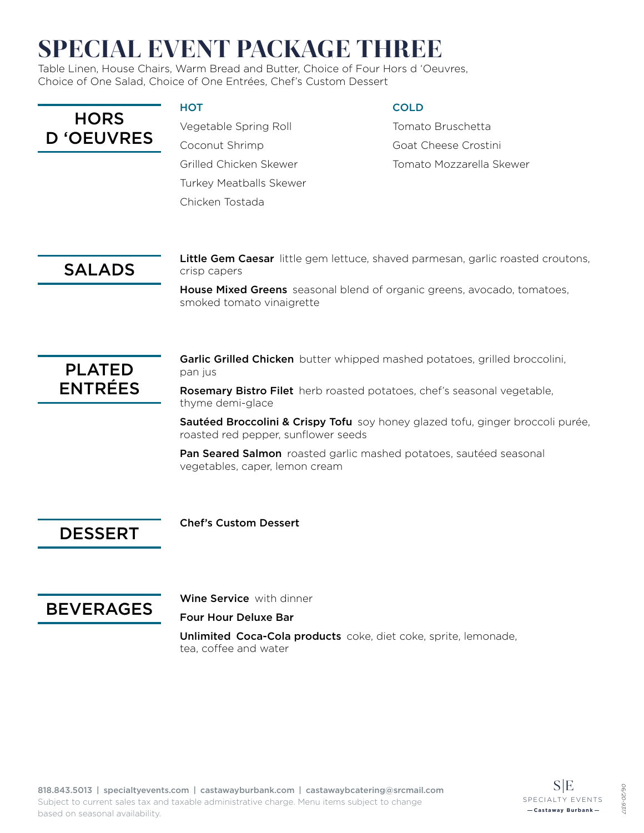# SPECIAL EVENT PACKAGE THREE

Table Linen, House Chairs, Warm Bread and Butter, Choice of Four Hors d 'Oeuvres, Choice of One Salad, Choice of One Entrées, Chef's Custom Dessert

| <b>HORS</b>      |
|------------------|
| <b>D</b> OEUVRES |

#### **HOT**

Vegetable Spring Roll Coconut Shrimp Grilled Chicken Skewer Turkey Meatballs Skewer Chicken Tostada

#### **COLD**

Tomato Bruschetta Goat Cheese Crostini Tomato Mozzarella Skewer

### SALADS

Little Gem Caesar little gem lettuce, shaved parmesan, garlic roasted croutons, crisp capers

House Mixed Greens seasonal blend of organic greens, avocado, tomatoes, smoked tomato vinaigrette



Garlic Grilled Chicken butter whipped mashed potatoes, grilled broccolini, pan jus

Rosemary Bistro Filet herb roasted potatoes, chef's seasonal vegetable, thyme demi-glace

Sautéed Broccolini & Crispy Tofu soy honey glazed tofu, ginger broccoli purée, roasted red pepper, sunflower seeds

Pan Seared Salmon roasted garlic mashed potatoes, sautéed seasonal vegetables, caper, lemon cream

DESSERT

Chef's Custom Dessert



Wine Service with dinner

Four Hour Deluxe Bar

Unlimited Coca-Cola products coke, diet coke, sprite, lemonade, tea, coffee and water

*06/20-9317*

**06/2C** 931.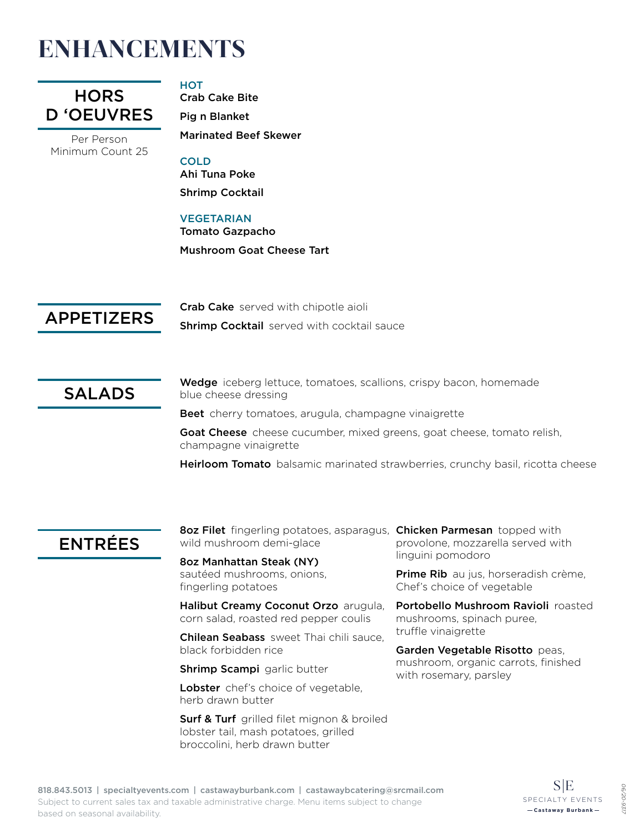## ENHANCEMENTS



Per Person Minimum Count 25

#### **HOT**

Crab Cake Bite Pig n Blanket Marinated Beef Skewer

#### COLD

Ahi Tuna Poke Shrimp Cocktail

#### VEGETARIAN

Tomato Gazpacho Mushroom Goat Cheese Tart

APPETIZERS

Crab Cake served with chipotle aioli

**Shrimp Cocktail** served with cocktail sauce

SALADS

Wedge iceberg lettuce, tomatoes, scallions, crispy bacon, homemade blue cheese dressing

Beet cherry tomatoes, arugula, champagne vinaigrette

Goat Cheese cheese cucumber, mixed greens, goat cheese, tomato relish, champagne vinaigrette

Heirloom Tomato balsamic marinated strawberries, crunchy basil, ricotta cheese

### ENTRÉES

8oz Filet fingerling potatoes, asparagus, Chicken Parmesan topped with wild mushroom demi-glace

8oz Manhattan Steak (NY) sautéed mushrooms, onions, fingerling potatoes

Halibut Creamy Coconut Orzo arugula, corn salad, roasted red pepper coulis

Chilean Seabass sweet Thai chili sauce, black forbidden rice

**Shrimp Scampi** garlic butter

Lobster chef's choice of vegetable, herb drawn butter

**Surf & Turf** grilled filet mignon & broiled lobster tail, mash potatoes, grilled broccolini, herb drawn butter

provolone, mozzarella served with linguini pomodoro

Prime Rib au jus, horseradish crème, Chef's choice of vegetable

Portobello Mushroom Ravioli roasted mushrooms, spinach puree, truffle vinaigrette

Garden Vegetable Risotto peas, mushroom, organic carrots, finished with rosemary, parsley

*06/20-9317*

**06/2C**